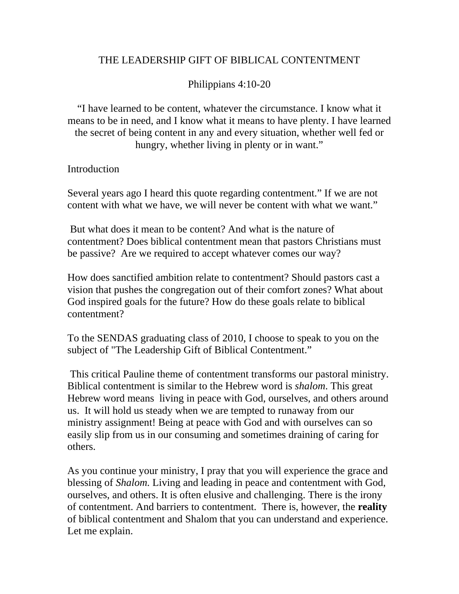### THE LEADERSHIP GIFT OF BIBLICAL CONTENTMENT

Philippians 4:10-20

"I have learned to be content, whatever the circumstance. I know what it means to be in need, and I know what it means to have plenty. I have learned the secret of being content in any and every situation, whether well fed or hungry, whether living in plenty or in want."

**Introduction** 

Several years ago I heard this quote regarding contentment." If we are not content with what we have, we will never be content with what we want."

 But what does it mean to be content? And what is the nature of contentment? Does biblical contentment mean that pastors Christians must be passive? Are we required to accept whatever comes our way?

How does sanctified ambition relate to contentment? Should pastors cast a vision that pushes the congregation out of their comfort zones? What about God inspired goals for the future? How do these goals relate to biblical contentment?

To the SENDAS graduating class of 2010, I choose to speak to you on the subject of "The Leadership Gift of Biblical Contentment."

 This critical Pauline theme of contentment transforms our pastoral ministry. Biblical contentment is similar to the Hebrew word is *shalom*. This great Hebrew word means living in peace with God, ourselves, and others around us. It will hold us steady when we are tempted to runaway from our ministry assignment! Being at peace with God and with ourselves can so easily slip from us in our consuming and sometimes draining of caring for others.

As you continue your ministry, I pray that you will experience the grace and blessing of *Shalom.* Living and leading in peace and contentment with God, ourselves, and others. It is often elusive and challenging. There is the irony of contentment. And barriers to contentment. There is, however, the **reality**  of biblical contentment and Shalom that you can understand and experience. Let me explain.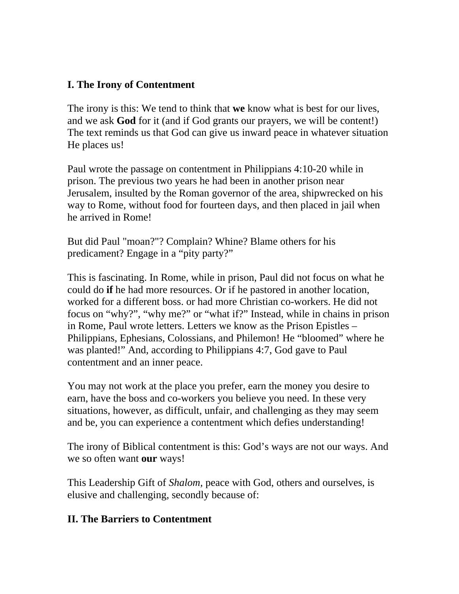# **I. The Irony of Contentment**

The irony is this: We tend to think that **we** know what is best for our lives, and we ask **God** for it (and if God grants our prayers, we will be content!) The text reminds us that God can give us inward peace in whatever situation He places us!

Paul wrote the passage on contentment in Philippians 4:10-20 while in prison. The previous two years he had been in another prison near Jerusalem, insulted by the Roman governor of the area, shipwrecked on his way to Rome, without food for fourteen days, and then placed in jail when he arrived in Rome!

But did Paul "moan?"? Complain? Whine? Blame others for his predicament? Engage in a "pity party?"

This is fascinating. In Rome, while in prison, Paul did not focus on what he could do **if** he had more resources. Or if he pastored in another location, worked for a different boss. or had more Christian co-workers. He did not focus on "why?", "why me?" or "what if?" Instead, while in chains in prison in Rome, Paul wrote letters. Letters we know as the Prison Epistles – Philippians, Ephesians, Colossians, and Philemon! He "bloomed" where he was planted!" And, according to Philippians 4:7, God gave to Paul contentment and an inner peace.

You may not work at the place you prefer, earn the money you desire to earn, have the boss and co-workers you believe you need. In these very situations, however, as difficult, unfair, and challenging as they may seem and be, you can experience a contentment which defies understanding!

The irony of Biblical contentment is this: God's ways are not our ways. And we so often want **our** ways!

This Leadership Gift of *Shalom,* peace with God, others and ourselves, is elusive and challenging, secondly because of:

## **II. The Barriers to Contentment**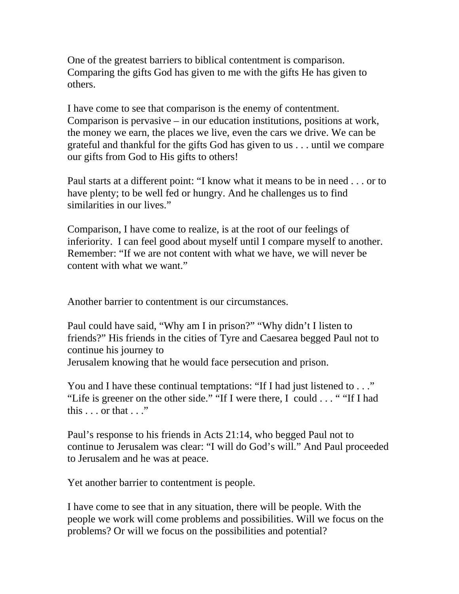One of the greatest barriers to biblical contentment is comparison. Comparing the gifts God has given to me with the gifts He has given to others.

I have come to see that comparison is the enemy of contentment. Comparison is pervasive – in our education institutions, positions at work, the money we earn, the places we live, even the cars we drive. We can be grateful and thankful for the gifts God has given to us . . . until we compare our gifts from God to His gifts to others!

Paul starts at a different point: "I know what it means to be in need . . . or to have plenty; to be well fed or hungry. And he challenges us to find similarities in our lives."

Comparison, I have come to realize, is at the root of our feelings of inferiority. I can feel good about myself until I compare myself to another. Remember: "If we are not content with what we have, we will never be content with what we want."

Another barrier to contentment is our circumstances.

Paul could have said, "Why am I in prison?" "Why didn't I listen to friends?" His friends in the cities of Tyre and Caesarea begged Paul not to continue his journey to Jerusalem knowing that he would face persecution and prison.

You and I have these continual temptations: "If I had just listened to . . ." "Life is greener on the other side." "If I were there, I could . . . " "If I had this  $\ldots$  or that  $\ldots$ "

Paul's response to his friends in Acts 21:14, who begged Paul not to continue to Jerusalem was clear: "I will do God's will." And Paul proceeded to Jerusalem and he was at peace.

Yet another barrier to contentment is people.

I have come to see that in any situation, there will be people. With the people we work will come problems and possibilities. Will we focus on the problems? Or will we focus on the possibilities and potential?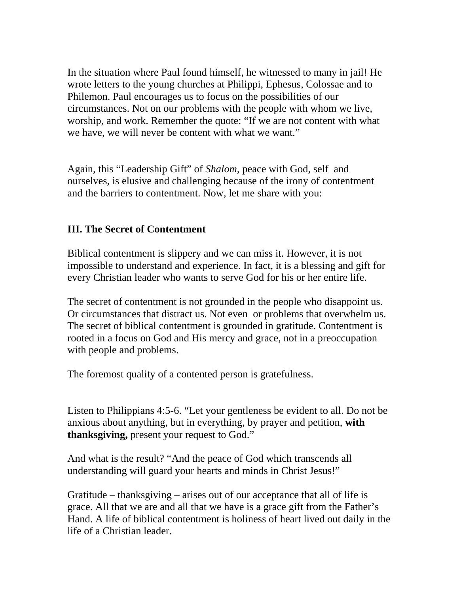In the situation where Paul found himself, he witnessed to many in jail! He wrote letters to the young churches at Philippi, Ephesus, Colossae and to Philemon. Paul encourages us to focus on the possibilities of our circumstances. Not on our problems with the people with whom we live, worship, and work. Remember the quote: "If we are not content with what we have, we will never be content with what we want."

Again, this "Leadership Gift" of *Shalom,* peace with God, self and ourselves, is elusive and challenging because of the irony of contentment and the barriers to contentment. Now, let me share with you:

## **III. The Secret of Contentment**

Biblical contentment is slippery and we can miss it. However, it is not impossible to understand and experience. In fact, it is a blessing and gift for every Christian leader who wants to serve God for his or her entire life.

The secret of contentment is not grounded in the people who disappoint us. Or circumstances that distract us. Not even or problems that overwhelm us. The secret of biblical contentment is grounded in gratitude. Contentment is rooted in a focus on God and His mercy and grace, not in a preoccupation with people and problems.

The foremost quality of a contented person is gratefulness.

Listen to Philippians 4:5-6. "Let your gentleness be evident to all. Do not be anxious about anything, but in everything, by prayer and petition, **with thanksgiving,** present your request to God."

And what is the result? "And the peace of God which transcends all understanding will guard your hearts and minds in Christ Jesus!"

Gratitude – thanksgiving – arises out of our acceptance that all of life is grace. All that we are and all that we have is a grace gift from the Father's Hand. A life of biblical contentment is holiness of heart lived out daily in the life of a Christian leader.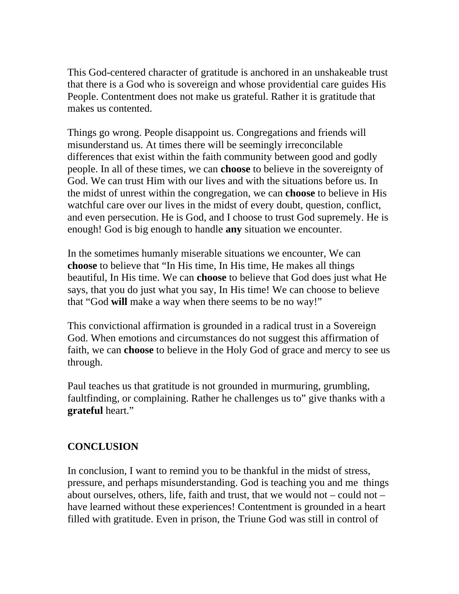This God-centered character of gratitude is anchored in an unshakeable trust that there is a God who is sovereign and whose providential care guides His People. Contentment does not make us grateful. Rather it is gratitude that makes us contented.

Things go wrong. People disappoint us. Congregations and friends will misunderstand us. At times there will be seemingly irreconcilable differences that exist within the faith community between good and godly people. In all of these times, we can **choose** to believe in the sovereignty of God. We can trust Him with our lives and with the situations before us. In the midst of unrest within the congregation, we can **choose** to believe in His watchful care over our lives in the midst of every doubt, question, conflict, and even persecution. He is God, and I choose to trust God supremely. He is enough! God is big enough to handle **any** situation we encounter.

In the sometimes humanly miserable situations we encounter, We can **choose** to believe that "In His time, In His time, He makes all things beautiful, In His time. We can **choose** to believe that God does just what He says, that you do just what you say, In His time! We can choose to believe that "God **will** make a way when there seems to be no way!"

This convictional affirmation is grounded in a radical trust in a Sovereign God. When emotions and circumstances do not suggest this affirmation of faith, we can **choose** to believe in the Holy God of grace and mercy to see us through.

Paul teaches us that gratitude is not grounded in murmuring, grumbling, faultfinding, or complaining. Rather he challenges us to" give thanks with a **grateful** heart."

## **CONCLUSION**

In conclusion, I want to remind you to be thankful in the midst of stress, pressure, and perhaps misunderstanding. God is teaching you and me things about ourselves, others, life, faith and trust, that we would not – could not – have learned without these experiences! Contentment is grounded in a heart filled with gratitude. Even in prison, the Triune God was still in control of